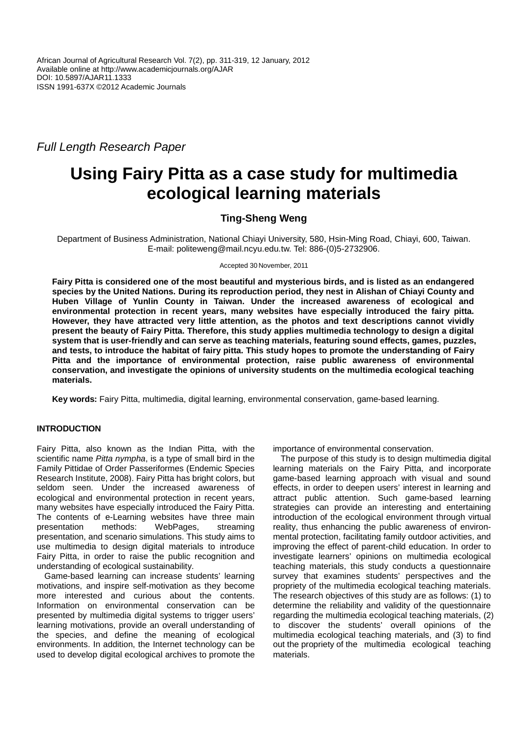Full Length Research Paper

# **Using Fairy Pitta as a case study for multimedia ecological learning materials**

## **Ting-Sheng Weng**

Department of Business Administration, National Chiayi University, 580, Hsin-Ming Road, Chiayi, 600, Taiwan. E-mail: politeweng@mail.ncyu.edu.tw. Tel: 886-(0)5-2732906.

Accepted 30 November, 2011

**Fairy Pitta is considered one of the most beautiful and mysterious birds, and is listed as an endangered species by the United Nations. During its reproduction period, they nest in Alishan of Chiayi County and Huben Village of Yunlin County in Taiwan. Under the increased awareness of ecological and environmental protection in recent years, many websites have especially introduced the fairy pitta. However, they have attracted very little attention, as the photos and text descriptions cannot vividly present the beauty of Fairy Pitta. Therefore, this study applies multimedia technology to design a digital system that is user-friendly and can serve as teaching materials, featuring sound effects, games, puzzles, and tests, to introduce the habitat of fairy pitta. This study hopes to promote the understanding of Fairy Pitta and the importance of environmental protection, raise public awareness of environmental conservation, and investigate the opinions of university students on the multimedia ecological teaching materials.** 

**Key words:** Fairy Pitta, multimedia, digital learning, environmental conservation, game-based learning.

## **INTRODUCTION**

Fairy Pitta, also known as the Indian Pitta, with the scientific name Pitta nympha, is a type of small bird in the Family Pittidae of Order Passeriformes (Endemic Species Research Institute, 2008). Fairy Pitta has bright colors, but seldom seen. Under the increased awareness of ecological and environmental protection in recent years, many websites have especially introduced the Fairy Pitta. The contents of e-Learning websites have three main presentation methods: WebPages, streaming presentation, and scenario simulations. This study aims to use multimedia to design digital materials to introduce Fairy Pitta, in order to raise the public recognition and understanding of ecological sustainability.

Game-based learning can increase students' learning motivations, and inspire self-motivation as they become more interested and curious about the contents. Information on environmental conservation can be presented by multimedia digital systems to trigger users' learning motivations, provide an overall understanding of the species, and define the meaning of ecological environments. In addition, the Internet technology can be used to develop digital ecological archives to promote the importance of environmental conservation.

The purpose of this study is to design multimedia digital learning materials on the Fairy Pitta, and incorporate game-based learning approach with visual and sound effects, in order to deepen users' interest in learning and attract public attention. Such game-based learning strategies can provide an interesting and entertaining introduction of the ecological environment through virtual reality, thus enhancing the public awareness of environmental protection, facilitating family outdoor activities, and improving the effect of parent-child education. In order to investigate learners' opinions on multimedia ecological teaching materials, this study conducts a questionnaire survey that examines students' perspectives and the propriety of the multimedia ecological teaching materials. The research objectives of this study are as follows: (1) to determine the reliability and validity of the questionnaire regarding the multimedia ecological teaching materials, (2) to discover the students' overall opinions of the multimedia ecological teaching materials, and (3) to find out the propriety of the multimedia ecological teaching materials.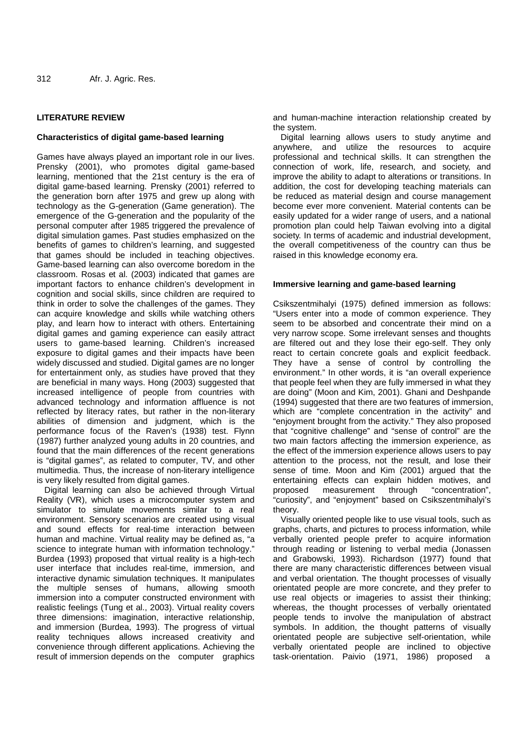## **LITERATURE REVIEW**

### **Characteristics of digital game-based learning**

Games have always played an important role in our lives. Prensky (2001), who promotes digital game-based learning, mentioned that the 21st century is the era of digital game-based learning. Prensky (2001) referred to the generation born after 1975 and grew up along with technology as the G-generation (Game generation). The emergence of the G-generation and the popularity of the personal computer after 1985 triggered the prevalence of digital simulation games. Past studies emphasized on the benefits of games to children's learning, and suggested that games should be included in teaching objectives. Game-based learning can also overcome boredom in the classroom. Rosas et al. (2003) indicated that games are important factors to enhance children's development in cognition and social skills, since children are required to think in order to solve the challenges of the games. They can acquire knowledge and skills while watching others play, and learn how to interact with others. Entertaining digital games and gaming experience can easily attract users to game-based learning. Children's increased exposure to digital games and their impacts have been widely discussed and studied. Digital games are no longer for entertainment only, as studies have proved that they are beneficial in many ways. Hong (2003) suggested that increased intelligence of people from countries with advanced technology and information affluence is not reflected by literacy rates, but rather in the non-literary abilities of dimension and judgment, which is the performance focus of the Raven's (1938) test. Flynn (1987) further analyzed young adults in 20 countries, and found that the main differences of the recent generations is "digital games", as related to computer, TV, and other multimedia. Thus, the increase of non-literary intelligence is very likely resulted from digital games.

Digital learning can also be achieved through Virtual Reality (VR), which uses a microcomputer system and simulator to simulate movements similar to a real environment. Sensory scenarios are created using visual and sound effects for real-time interaction between human and machine. Virtual reality may be defined as, "a science to integrate human with information technology." Burdea (1993) proposed that virtual reality is a high-tech user interface that includes real-time, immersion, and interactive dynamic simulation techniques. It manipulates the multiple senses of humans, allowing smooth immersion into a computer constructed environment with realistic feelings (Tung et al., 2003). Virtual reality covers three dimensions: imagination, interactive relationship, and immersion (Burdea, 1993). The progress of virtual reality techniques allows increased creativity and convenience through different applications. Achieving the result of immersion depends on the computer graphics

and human-machine interaction relationship created by the system.

Digital learning allows users to study anytime and anywhere, and utilize the resources to acquire professional and technical skills. It can strengthen the connection of work, life, research, and society, and improve the ability to adapt to alterations or transitions. In addition, the cost for developing teaching materials can be reduced as material design and course management become ever more convenient. Material contents can be easily updated for a wider range of users, and a national promotion plan could help Taiwan evolving into a digital society. In terms of academic and industrial development, the overall competitiveness of the country can thus be raised in this knowledge economy era.

#### **Immersive learning and game-based learning**

Csikszentmihalyi (1975) defined immersion as follows: "Users enter into a mode of common experience. They seem to be absorbed and concentrate their mind on a very narrow scope. Some irrelevant senses and thoughts are filtered out and they lose their ego-self. They only react to certain concrete goals and explicit feedback. They have a sense of control by controlling the environment." In other words, it is "an overall experience that people feel when they are fully immersed in what they are doing" (Moon and Kim, 2001). Ghani and Deshpande (1994) suggested that there are two features of immersion, which are "complete concentration in the activity" and "enjoyment brought from the activity." They also proposed that "cognitive challenge" and "sense of control" are the two main factors affecting the immersion experience, as the effect of the immersion experience allows users to pay attention to the process, not the result, and lose their sense of time. Moon and Kim (2001) argued that the entertaining effects can explain hidden motives, and proposed measurement through "concentration", "curiosity", and "enjoyment" based on Csikszentmihalyi's theory.

Visually oriented people like to use visual tools, such as graphs, charts, and pictures to process information, while verbally oriented people prefer to acquire information through reading or listening to verbal media (Jonassen and Grabowski, 1993). Richardson (1977) found that there are many characteristic differences between visual and verbal orientation. The thought processes of visually orientated people are more concrete, and they prefer to use real objects or imageries to assist their thinking; whereas, the thought processes of verbally orientated people tends to involve the manipulation of abstract symbols. In addition, the thought patterns of visually orientated people are subjective self-orientation, while verbally orientated people are inclined to objective task-orientation. Paivio (1971, 1986) proposed a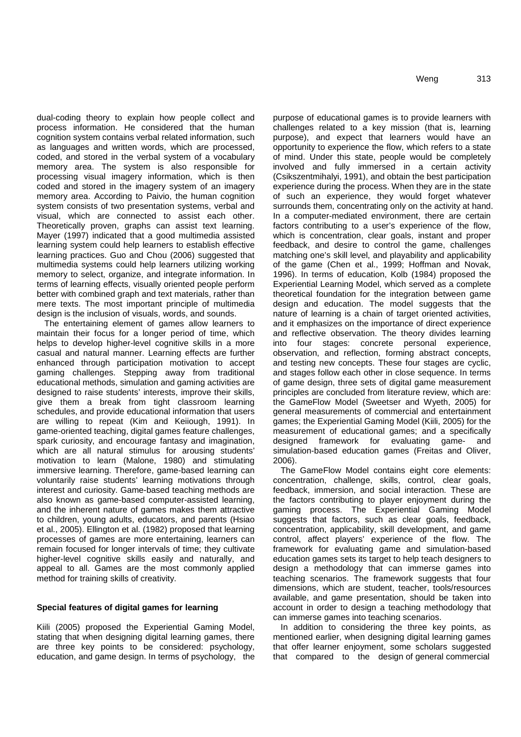dual-coding theory to explain how people collect and process information. He considered that the human cognition system contains verbal related information, such as languages and written words, which are processed, coded, and stored in the verbal system of a vocabulary memory area. The system is also responsible for processing visual imagery information, which is then coded and stored in the imagery system of an imagery memory area. According to Paivio, the human cognition system consists of two presentation systems, verbal and visual, which are connected to assist each other. Theoretically proven, graphs can assist text learning. Mayer (1997) indicated that a good multimedia assisted learning system could help learners to establish effective learning practices. Guo and Chou (2006) suggested that multimedia systems could help learners utilizing working memory to select, organize, and integrate information. In terms of learning effects, visually oriented people perform better with combined graph and text materials, rather than mere texts. The most important principle of multimedia design is the inclusion of visuals, words, and sounds.

The entertaining element of games allow learners to maintain their focus for a longer period of time, which helps to develop higher-level cognitive skills in a more casual and natural manner. Learning effects are further enhanced through participation motivation to accept gaming challenges. Stepping away from traditional educational methods, simulation and gaming activities are designed to raise students' interests, improve their skills, give them a break from tight classroom learning schedules, and provide educational information that users are willing to repeat (Kim and Keiiough, 1991). In game-oriented teaching, digital games feature challenges, spark curiosity, and encourage fantasy and imagination, which are all natural stimulus for arousing students' motivation to learn (Malone, 1980) and stimulating immersive learning. Therefore, game-based learning can voluntarily raise students' learning motivations through interest and curiosity. Game-based teaching methods are also known as game-based computer-assisted learning, and the inherent nature of games makes them attractive to children, young adults, educators, and parents (Hsiao et al., 2005). Ellington et al. (1982) proposed that learning processes of games are more entertaining, learners can remain focused for longer intervals of time; they cultivate higher-level cognitive skills easily and naturally, and appeal to all. Games are the most commonly applied method for training skills of creativity.

#### **Special features of digital games for learning**

Kiili (2005) proposed the Experiential Gaming Model, stating that when designing digital learning games, there are three key points to be considered: psychology, education, and game design. In terms of psychology, the purpose of educational games is to provide learners with challenges related to a key mission (that is, learning purpose), and expect that learners would have an opportunity to experience the flow, which refers to a state of mind. Under this state, people would be completely involved and fully immersed in a certain activity (Csikszentmihalyi, 1991), and obtain the best participation experience during the process. When they are in the state of such an experience, they would forget whatever surrounds them, concentrating only on the activity at hand. In a computer-mediated environment, there are certain factors contributing to a user's experience of the flow, which is concentration, clear goals, instant and proper feedback, and desire to control the game, challenges matching one's skill level, and playability and applicability of the game (Chen et al., 1999; Hoffman and Novak, 1996). In terms of education, Kolb (1984) proposed the Experiential Learning Model, which served as a complete theoretical foundation for the integration between game design and education. The model suggests that the nature of learning is a chain of target oriented activities, and it emphasizes on the importance of direct experience and reflective observation. The theory divides learning into four stages: concrete personal experience, observation, and reflection, forming abstract concepts, and testing new concepts. These four stages are cyclic, and stages follow each other in close sequence. In terms of game design, three sets of digital game measurement principles are concluded from literature review, which are: the GameFlow Model (Sweetser and Wyeth, 2005) for general measurements of commercial and entertainment games; the Experiential Gaming Model (Kiili, 2005) for the measurement of educational games; and a specifically designed framework for evaluating game- and simulation-based education games (Freitas and Oliver, 2006).

The GameFlow Model contains eight core elements: concentration, challenge, skills, control, clear goals, feedback, immersion, and social interaction. These are the factors contributing to player enjoyment during the gaming process. The Experiential Gaming Model suggests that factors, such as clear goals, feedback, concentration, applicability, skill development, and game control, affect players' experience of the flow. The framework for evaluating game and simulation-based education games sets its target to help teach designers to design a methodology that can immerse games into teaching scenarios. The framework suggests that four dimensions, which are student, teacher, tools/resources available, and game presentation, should be taken into account in order to design a teaching methodology that can immerse games into teaching scenarios.

In addition to considering the three key points, as mentioned earlier, when designing digital learning games that offer learner enjoyment, some scholars suggested that compared to the design of general commercial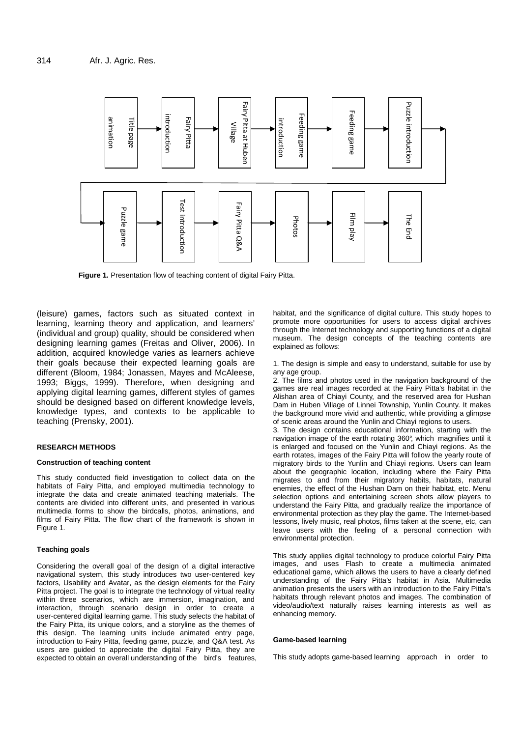

**Figure 1.** Presentation flow of teaching content of digital Fairy Pitta.

(leisure) games, factors such as situated context in learning, learning theory and application, and learners' (individual and group) quality, should be considered when designing learning games (Freitas and Oliver, 2006). In addition, acquired knowledge varies as learners achieve their goals because their expected learning goals are different (Bloom, 1984; Jonassen, Mayes and McAleese, 1993; Biggs, 1999). Therefore, when designing and applying digital learning games, different styles of games should be designed based on different knowledge levels, knowledge types, and contexts to be applicable to teaching (Prensky, 2001).

#### **RESEARCH METHODS**

#### **Construction of teaching content**

This study conducted field investigation to collect data on the habitats of Fairy Pitta, and employed multimedia technology to integrate the data and create animated teaching materials. The contents are divided into different units, and presented in various multimedia forms to show the birdcalls, photos, animations, and films of Fairy Pitta. The flow chart of the framework is shown in Figure 1.

#### **Teaching goals**

Considering the overall goal of the design of a digital interactive navigational system, this study introduces two user-centered key factors, Usability and Avatar, as the design elements for the Fairy Pitta project. The goal is to integrate the technology of virtual reality within three scenarios, which are immersion, imagination, and interaction, through scenario design in order to create a user-centered digital learning game. This study selects the habitat of the Fairy Pitta, its unique colors, and a storyline as the themes of this design. The learning units include animated entry page, introduction to Fairy Pitta, feeding game, puzzle, and Q&A test. As users are guided to appreciate the digital Fairy Pitta, they are expected to obtain an overall understanding of the bird's features, habitat, and the significance of digital culture. This study hopes to promote more opportunities for users to access digital archives through the Internet technology and supporting functions of a digital museum. The design concepts of the teaching contents are explained as follows:

1. The design is simple and easy to understand, suitable for use by any age group.

2. The films and photos used in the navigation background of the games are real images recorded at the Fairy Pitta's habitat in the Alishan area of Chiayi County, and the reserved area for Hushan Dam in Huben Village of Linnei Township, Yunlin County. It makes the background more vivid and authentic, while providing a glimpse of scenic areas around the Yunlin and Chiayi regions to users.

3. The design contains educational information, starting with the navigation image of the earth rotating 360°, which magnifies until it is enlarged and focused on the Yunlin and Chiayi regions. As the earth rotates, images of the Fairy Pitta will follow the yearly route of migratory birds to the Yunlin and Chiayi regions. Users can learn about the geographic location, including where the Fairy Pitta migrates to and from their migratory habits, habitats, natural enemies, the effect of the Hushan Dam on their habitat, etc. Menu selection options and entertaining screen shots allow players to understand the Fairy Pitta, and gradually realize the importance of environmental protection as they play the game. The Internet-based lessons, lively music, real photos, films taken at the scene, etc, can leave users with the feeling of a personal connection with environmental protection.

This study applies digital technology to produce colorful Fairy Pitta images, and uses Flash to create a multimedia animated educational game, which allows the users to have a clearly defined understanding of the Fairy Pitta's habitat in Asia. Multimedia animation presents the users with an introduction to the Fairy Pitta's habitats through relevant photos and images. The combination of video/audio/text naturally raises learning interests as well as enhancing memory.

#### **Game-based learning**

This study adopts game-based learning approach in order to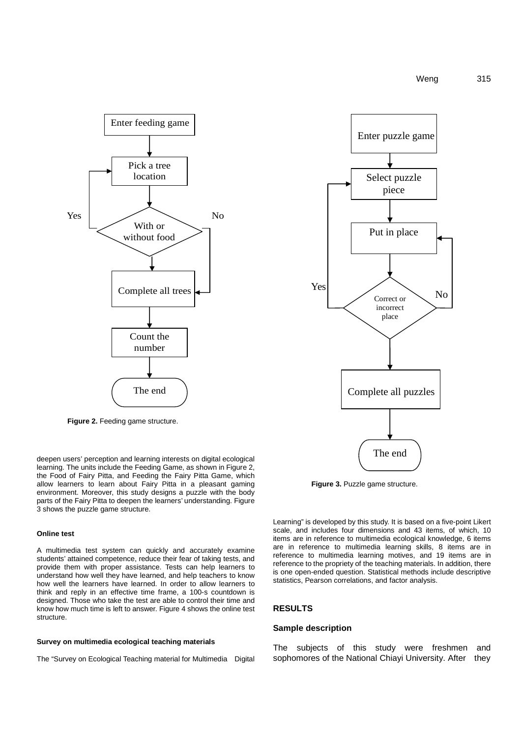

**Figure 2.** Feeding game structure.

deepen users' perception and learning interests on digital ecological learning. The units include the Feeding Game, as shown in Figure 2, the Food of Fairy Pitta, and Feeding the Fairy Pitta Game, which allow learners to learn about Fairy Pitta in a pleasant gaming environment. Moreover, this study designs a puzzle with the body parts of the Fairy Pitta to deepen the learners' understanding. Figure 3 shows the puzzle game structure.

#### **Online test**

A multimedia test system can quickly and accurately examine students' attained competence, reduce their fear of taking tests, and provide them with proper assistance. Tests can help learners to understand how well they have learned, and help teachers to know how well the learners have learned. In order to allow learners to think and reply in an effective time frame, a 100-s countdown is designed. Those who take the test are able to control their time and know how much time is left to answer. Figure 4 shows the online test structure.

#### **Survey on multimedia ecological teaching materials**

The "Survey on Ecological Teaching material for Multimedia Digital



**Figure 3.** Puzzle game structure.

Learning" is developed by this study. It is based on a five-point Likert scale, and includes four dimensions and 43 items, of which, 10 items are in reference to multimedia ecological knowledge, 6 items are in reference to multimedia learning skills, 8 items are in reference to multimedia learning motives, and 19 items are in reference to the propriety of the teaching materials. In addition, there is one open-ended question. Statistical methods include descriptive statistics, Pearson correlations, and factor analysis.

#### **RESULTS**

#### **Sample description**

The subjects of this study were freshmen and sophomores of the National Chiayi University. After they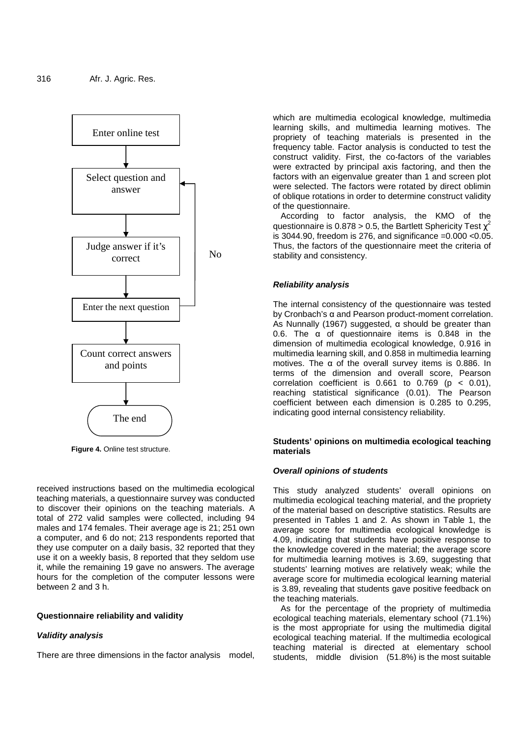

**Figure 4.** Online test structure.

received instructions based on the multimedia ecological teaching materials, a questionnaire survey was conducted to discover their opinions on the teaching materials. A total of 272 valid samples were collected, including 94 males and 174 females. Their average age is 21; 251 own a computer, and 6 do not; 213 respondents reported that they use computer on a daily basis, 32 reported that they use it on a weekly basis, 8 reported that they seldom use it, while the remaining 19 gave no answers. The average hours for the completion of the computer lessons were between 2 and 3 h.

#### **Questionnaire reliability and validity**

### **Validity analysis**

There are three dimensions in the factor analysis model,

which are multimedia ecological knowledge, multimedia learning skills, and multimedia learning motives. The propriety of teaching materials is presented in the frequency table. Factor analysis is conducted to test the construct validity. First, the co-factors of the variables were extracted by principal axis factoring, and then the factors with an eigenvalue greater than 1 and screen plot were selected. The factors were rotated by direct oblimin of oblique rotations in order to determine construct validity of the questionnaire.

According to factor analysis, the KMO of the questionnaire is 0.878 > 0.5, the Bartlett Sphericity Test  $\chi^2$ is 3044.90, freedom is 276, and significance  $=0.000$  < 0.05. Thus, the factors of the questionnaire meet the criteria of stability and consistency.

#### **Reliability analysis**

The internal consistency of the questionnaire was tested by Cronbach's α and Pearson product-moment correlation. As Nunnally (1967) suggested,  $\alpha$  should be greater than 0.6. The  $\alpha$  of questionnaire items is 0.848 in the dimension of multimedia ecological knowledge, 0.916 in multimedia learning skill, and 0.858 in multimedia learning motives. The  $\alpha$  of the overall survey items is 0.886. In terms of the dimension and overall score, Pearson correlation coefficient is  $0.661$  to  $0.769$  (p < 0.01), reaching statistical significance (0.01). The Pearson coefficient between each dimension is 0.285 to 0.295, indicating good internal consistency reliability.

#### **Students' opinions on multimedia ecological teaching materials**

#### **Overall opinions of students**

This study analyzed students' overall opinions on multimedia ecological teaching material, and the propriety of the material based on descriptive statistics. Results are presented in Tables 1 and 2. As shown in Table 1, the average score for multimedia ecological knowledge is 4.09, indicating that students have positive response to the knowledge covered in the material; the average score for multimedia learning motives is 3.69, suggesting that students' learning motives are relatively weak; while the average score for multimedia ecological learning material is 3.89, revealing that students gave positive feedback on the teaching materials.

As for the percentage of the propriety of multimedia ecological teaching materials, elementary school (71.1%) is the most appropriate for using the multimedia digital ecological teaching material. If the multimedia ecological teaching material is directed at elementary school students, middle division (51.8%) is the most suitable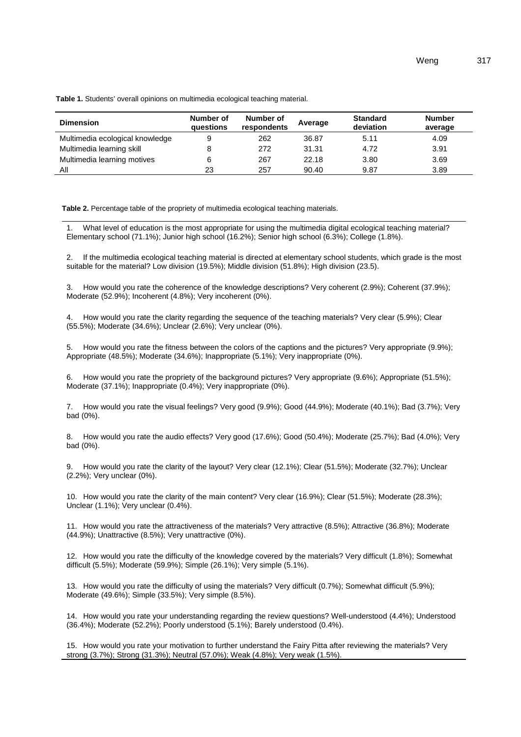**Table 1.** Students' overall opinions on multimedia ecological teaching material.

| <b>Dimension</b>                | Number of<br><b>auestions</b> | Number of<br>respondents | Average | <b>Standard</b><br>deviation | <b>Number</b><br>average |
|---------------------------------|-------------------------------|--------------------------|---------|------------------------------|--------------------------|
| Multimedia ecological knowledge | 9                             | 262                      | 36.87   | 5.11                         | 4.09                     |
| Multimedia learning skill       |                               | 272                      | 31.31   | 4.72                         | 3.91                     |
| Multimedia learning motives     |                               | 267                      | 22.18   | 3.80                         | 3.69                     |
| Αll                             | 23                            | 257                      | 90.40   | 9.87                         | 3.89                     |

**Table 2.** Percentage table of the propriety of multimedia ecological teaching materials.

1. What level of education is the most appropriate for using the multimedia digital ecological teaching material? Elementary school (71.1%); Junior high school (16.2%); Senior high school (6.3%); College (1.8%).

2. If the multimedia ecological teaching material is directed at elementary school students, which grade is the most suitable for the material? Low division (19.5%); Middle division (51.8%); High division (23.5).

How would you rate the coherence of the knowledge descriptions? Very coherent (2.9%); Coherent (37.9%); Moderate (52.9%); Incoherent (4.8%); Very incoherent (0%).

4. How would you rate the clarity regarding the sequence of the teaching materials? Very clear (5.9%); Clear (55.5%); Moderate (34.6%); Unclear (2.6%); Very unclear (0%).

5. How would you rate the fitness between the colors of the captions and the pictures? Very appropriate (9.9%); Appropriate (48.5%); Moderate (34.6%); Inappropriate (5.1%); Very inappropriate (0%).

6. How would you rate the propriety of the background pictures? Very appropriate (9.6%); Appropriate (51.5%); Moderate (37.1%); Inappropriate (0.4%); Very inappropriate (0%).

7. How would you rate the visual feelings? Very good (9.9%); Good (44.9%); Moderate (40.1%); Bad (3.7%); Very bad (0%).

8. How would you rate the audio effects? Very good (17.6%); Good (50.4%); Moderate (25.7%); Bad (4.0%); Very bad (0%).

9. How would you rate the clarity of the layout? Very clear (12.1%); Clear (51.5%); Moderate (32.7%); Unclear (2.2%); Very unclear (0%).

10. How would you rate the clarity of the main content? Very clear (16.9%); Clear (51.5%); Moderate (28.3%); Unclear (1.1%); Very unclear (0.4%).

11. How would you rate the attractiveness of the materials? Very attractive (8.5%); Attractive (36.8%); Moderate (44.9%); Unattractive (8.5%); Very unattractive (0%).

12. How would you rate the difficulty of the knowledge covered by the materials? Very difficult (1.8%); Somewhat difficult (5.5%); Moderate (59.9%); Simple (26.1%); Very simple (5.1%).

13. How would you rate the difficulty of using the materials? Very difficult (0.7%); Somewhat difficult (5.9%); Moderate (49.6%); Simple (33.5%); Very simple (8.5%).

14. How would you rate your understanding regarding the review questions? Well-understood (4.4%); Understood (36.4%); Moderate (52.2%); Poorly understood (5.1%); Barely understood (0.4%).

15. How would you rate your motivation to further understand the Fairy Pitta after reviewing the materials? Very strong (3.7%); Strong (31.3%); Neutral (57.0%); Weak (4.8%); Very weak (1.5%).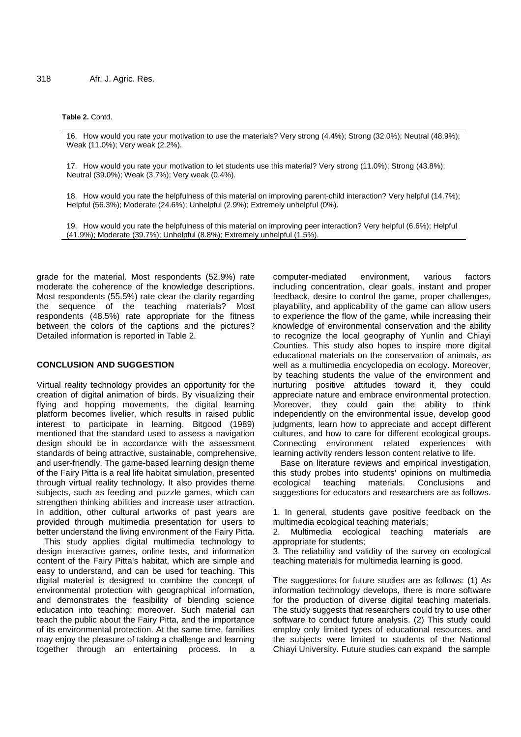#### **Table 2.** Contd.

16. How would you rate your motivation to use the materials? Very strong (4.4%); Strong (32.0%); Neutral (48.9%); Weak (11.0%); Very weak (2.2%).

17. How would you rate your motivation to let students use this material? Very strong (11.0%); Strong (43.8%); Neutral (39.0%); Weak (3.7%); Very weak (0.4%).

18. How would you rate the helpfulness of this material on improving parent-child interaction? Very helpful (14.7%); Helpful (56.3%); Moderate (24.6%); Unhelpful (2.9%); Extremely unhelpful (0%).

19. How would you rate the helpfulness of this material on improving peer interaction? Very helpful (6.6%); Helpful (41.9%); Moderate (39.7%); Unhelpful (8.8%); Extremely unhelpful (1.5%).

grade for the material. Most respondents (52.9%) rate moderate the coherence of the knowledge descriptions. Most respondents (55.5%) rate clear the clarity regarding the sequence of the teaching materials? Most respondents (48.5%) rate appropriate for the fitness between the colors of the captions and the pictures? Detailed information is reported in Table 2.

#### **CONCLUSION AND SUGGESTION**

Virtual reality technology provides an opportunity for the creation of digital animation of birds. By visualizing their flying and hopping movements, the digital learning platform becomes livelier, which results in raised public interest to participate in learning. Bitgood (1989) mentioned that the standard used to assess a navigation design should be in accordance with the assessment standards of being attractive, sustainable, comprehensive, and user-friendly. The game-based learning design theme of the Fairy Pitta is a real life habitat simulation, presented through virtual reality technology. It also provides theme subjects, such as feeding and puzzle games, which can strengthen thinking abilities and increase user attraction. In addition, other cultural artworks of past years are provided through multimedia presentation for users to better understand the living environment of the Fairy Pitta.

This study applies digital multimedia technology to design interactive games, online tests, and information content of the Fairy Pitta's habitat, which are simple and easy to understand, and can be used for teaching. This digital material is designed to combine the concept of environmental protection with geographical information, and demonstrates the feasibility of blending science education into teaching; moreover. Such material can teach the public about the Fairy Pitta, and the importance of its environmental protection. At the same time, families may enjoy the pleasure of taking a challenge and learning together through an entertaining process. In a computer-mediated environment, various factors including concentration, clear goals, instant and proper feedback, desire to control the game, proper challenges, playability, and applicability of the game can allow users to experience the flow of the game, while increasing their knowledge of environmental conservation and the ability to recognize the local geography of Yunlin and Chiayi Counties. This study also hopes to inspire more digital educational materials on the conservation of animals, as well as a multimedia encyclopedia on ecology. Moreover, by teaching students the value of the environment and nurturing positive attitudes toward it, they could appreciate nature and embrace environmental protection. Moreover, they could gain the ability to think independently on the environmental issue, develop good judgments, learn how to appreciate and accept different cultures, and how to care for different ecological groups. Connecting environment related experiences with learning activity renders lesson content relative to life.

Base on literature reviews and empirical investigation, this study probes into students' opinions on multimedia ecological teaching materials. Conclusions and suggestions for educators and researchers are as follows.

1. In general, students gave positive feedback on the multimedia ecological teaching materials;

2. Multimedia ecological teaching materials are appropriate for students;

3. The reliability and validity of the survey on ecological teaching materials for multimedia learning is good.

The suggestions for future studies are as follows: (1) As information technology develops, there is more software for the production of diverse digital teaching materials. The study suggests that researchers could try to use other software to conduct future analysis. (2) This study could employ only limited types of educational resources, and the subjects were limited to students of the National Chiayi University. Future studies can expand the sample